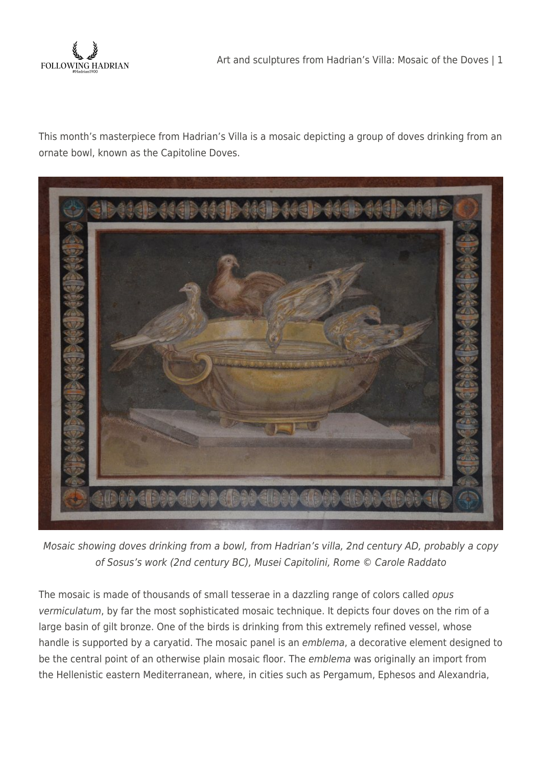

This month's masterpiece from Hadrian's Villa is a mosaic depicting a group of doves drinking from an ornate bowl, known as the Capitoline Doves.



Mosaic showing doves drinking from a bowl, from Hadrian's villa, 2nd century AD, probably a copy of Sosus's work (2nd century BC), Musei Capitolini, Rome © Carole Raddato

The mosaic is made of thousands of small tesserae in a dazzling range of colors called opus vermiculatum, by far the most sophisticated mosaic technique. It depicts four doves on the rim of a large basin of gilt bronze. One of the birds is drinking from this extremely refined vessel, whose handle is supported by a caryatid. The mosaic panel is an emblema, a decorative element designed to be the central point of an otherwise plain mosaic floor. The emblema was originally an import from the Hellenistic eastern Mediterranean, where, in cities such as Pergamum, Ephesos and Alexandria,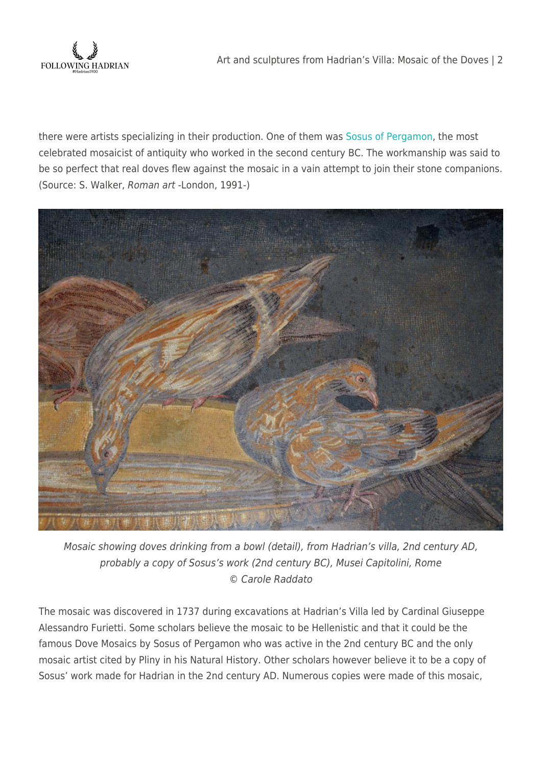

there were artists specializing in their production. One of them was [Sosus of Pergamon](http://en.wikipedia.org/wiki/Sosus_of_Pergamon), the most celebrated mosaicist of antiquity who worked in the second century BC. The workmanship was said to be so perfect that real doves flew against the mosaic in a vain attempt to join their stone companions. (Source: S. Walker, Roman art -London, 1991-)



Mosaic showing doves drinking from a bowl (detail), from Hadrian's villa, 2nd century AD, probably a copy of Sosus's work (2nd century BC), Musei Capitolini, Rome © Carole Raddato

The mosaic was discovered in 1737 during excavations at Hadrian's Villa led by Cardinal Giuseppe Alessandro Furietti. Some scholars believe the mosaic to be Hellenistic and that it could be the famous Dove Mosaics by Sosus of Pergamon who was active in the 2nd century BC and the only mosaic artist cited by Pliny in his Natural History. Other scholars however believe it to be a copy of Sosus' work made for Hadrian in the 2nd century AD. Numerous copies were made of this mosaic,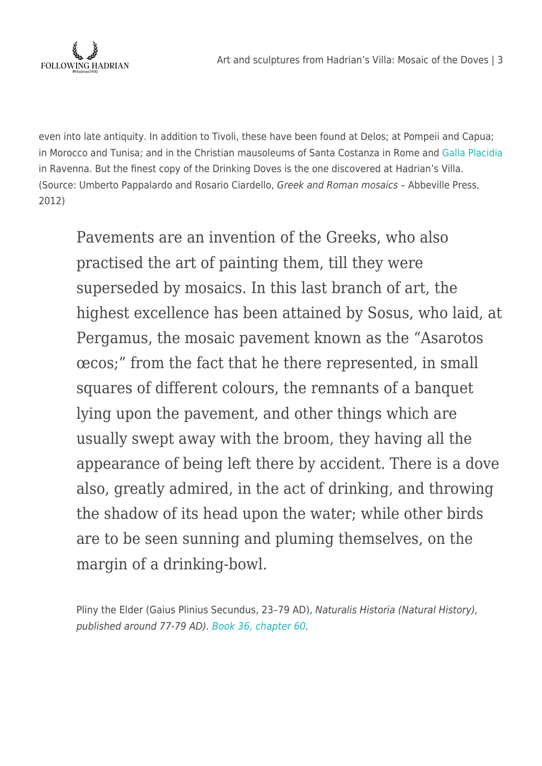

even into late antiquity. In addition to Tivoli, these have been found at Delos; at Pompeii and Capua; in Morocco and Tunisa; and in the Christian mausoleums of Santa Costanza in Rome and [Galla Placidia](https://www.flickr.com/photos/carolemage/32189431156/) in Ravenna. But the finest copy of the Drinking Doves is the one discovered at Hadrian's Villa. (Source: Umberto Pappalardo and Rosario Ciardello, Greek and Roman mosaics – Abbeville Press, 2012)

Pavements are an invention of the Greeks, who also practised the art of painting them, till they were superseded by mosaics. In this last branch of art, the highest excellence has been attained by Sosus, who laid, at Pergamus, the mosaic pavement known as the "Asarotos œcos;" from the fact that he there represented, in small squares of different colours, the remnants of a banquet lying upon the pavement, and other things which are usually swept away with the broom, they having all the appearance of being left there by accident. There is a dove also, greatly admired, in the act of drinking, and throwing the shadow of its head upon the water; while other birds are to be seen sunning and pluming themselves, on the margin of a drinking-bowl.

Pliny the Elder (Gaius Plinius Secundus, 23–79 AD), Naturalis Historia (Natural History), published around 77-79 AD). [Book 36, chapter 60.](http://www.perseus.tufts.edu/hopper/text?doc=Plin.+Nat.+36&fromdoc=Perseus%3Atext%3A1999.02.0137#note-link463)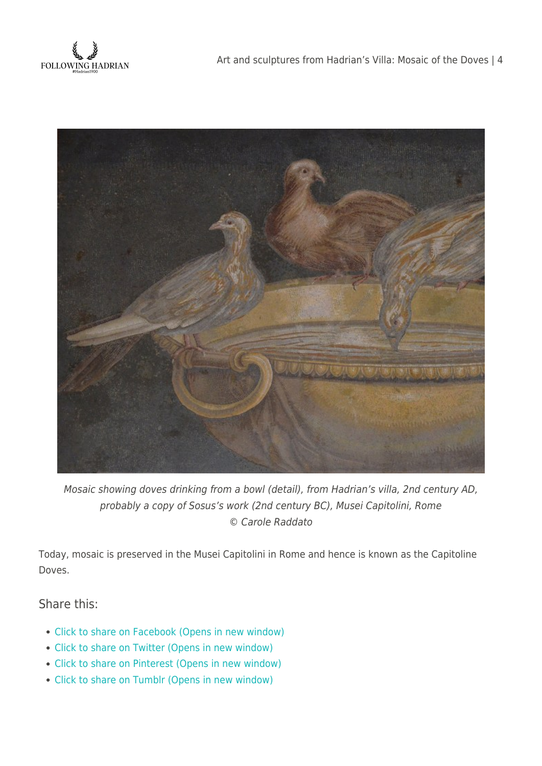



Mosaic showing doves drinking from a bowl (detail), from Hadrian's villa, 2nd century AD, probably a copy of Sosus's work (2nd century BC), Musei Capitolini, Rome © Carole Raddato

Today, mosaic is preserved in the Musei Capitolini in Rome and hence is known as the Capitoline Doves.

## Share this:

- [Click to share on Facebook \(Opens in new window\)](https://followinghadrian.com/2014/06/13/art-and-sculptures-from-hadrians-villa-mosaic-of-the-doves/?share=facebook)
- [Click to share on Twitter \(Opens in new window\)](https://followinghadrian.com/2014/06/13/art-and-sculptures-from-hadrians-villa-mosaic-of-the-doves/?share=twitter)
- [Click to share on Pinterest \(Opens in new window\)](https://followinghadrian.com/2014/06/13/art-and-sculptures-from-hadrians-villa-mosaic-of-the-doves/?share=pinterest)
- [Click to share on Tumblr \(Opens in new window\)](https://followinghadrian.com/2014/06/13/art-and-sculptures-from-hadrians-villa-mosaic-of-the-doves/?share=tumblr)